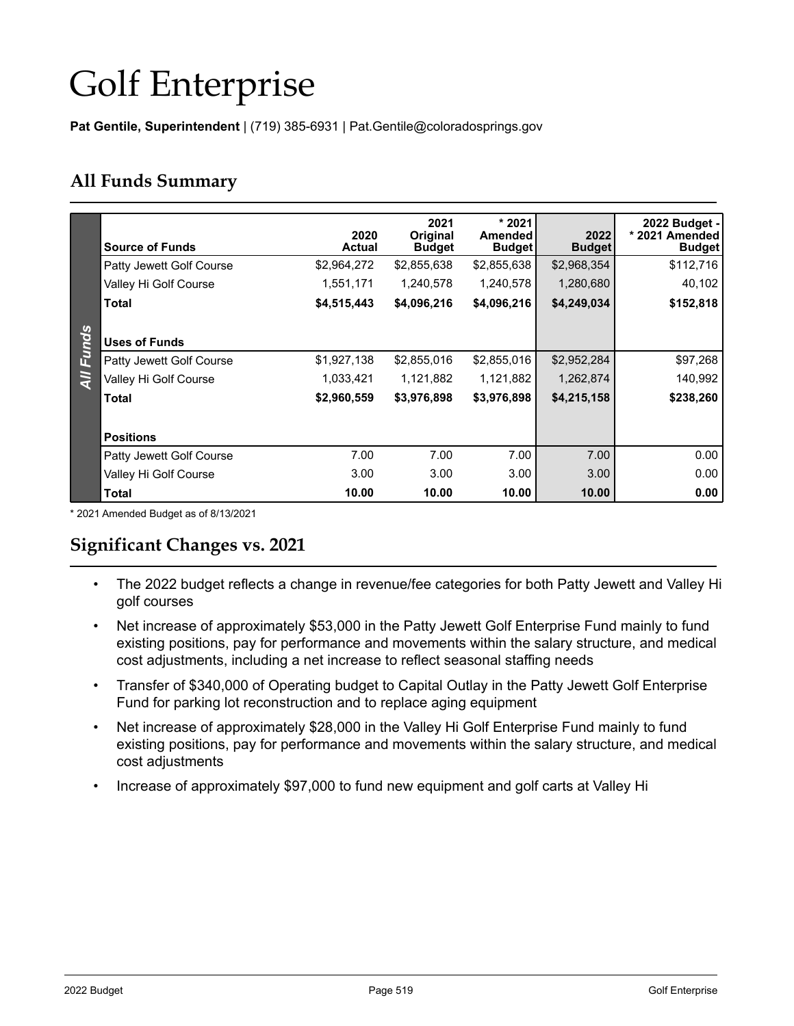# Golf Enterprise

**Pat Gentile, Superintendent** | (719) 385-6931 | Pat.Gentile@coloradosprings.gov

## **All Funds Summary**

|                | <b>Source of Funds</b>          | 2020<br><b>Actual</b> | 2021<br><b>Original</b><br><b>Budget</b> | $*2021$<br><b>Amended</b><br><b>Budget</b> | 2022<br><b>Budget</b> | 2022 Budget -<br>* 2021 Amended<br><b>Budget</b> |
|----------------|---------------------------------|-----------------------|------------------------------------------|--------------------------------------------|-----------------------|--------------------------------------------------|
|                | Patty Jewett Golf Course        | \$2,964,272           | \$2,855,638                              | \$2,855,638                                | \$2,968,354           | \$112,716                                        |
|                | Valley Hi Golf Course           | 1,551,171             | 1,240,578                                | 1,240,578                                  | 1,280,680             | 40,102                                           |
|                | <b>Total</b>                    | \$4,515,443           | \$4,096,216                              | \$4,096,216                                | \$4,249,034           | \$152,818                                        |
|                |                                 |                       |                                          |                                            |                       |                                                  |
| <b>Funds</b>   | <b>Uses of Funds</b>            |                       |                                          |                                            |                       |                                                  |
|                | Patty Jewett Golf Course        | \$1,927,138           | \$2,855,016                              | \$2,855,016                                | \$2,952,284           | \$97,268                                         |
| $\overline{4}$ | Valley Hi Golf Course           | 1,033,421             | 1,121,882                                | 1,121,882                                  | 1,262,874             | 140,992                                          |
|                | <b>Total</b>                    | \$2,960,559           | \$3,976,898                              | \$3,976,898                                | \$4,215,158           | \$238,260                                        |
|                |                                 |                       |                                          |                                            |                       |                                                  |
|                | <b>Positions</b>                |                       |                                          |                                            |                       |                                                  |
|                | <b>Patty Jewett Golf Course</b> | 7.00                  | 7.00                                     | 7.00                                       | 7.00                  | 0.00                                             |
|                | Valley Hi Golf Course           | 3.00                  | 3.00                                     | 3.00                                       | 3.00                  | 0.00                                             |
|                | <b>Total</b>                    | 10.00                 | 10.00                                    | 10.00                                      | 10.00                 | 0.00                                             |

\* 2021 Amended Budget as of 8/13/2021

## **Significant Changes vs. 2021**

- The 2022 budget reflects a change in revenue/fee categories for both Patty Jewett and Valley Hi golf courses
- Net increase of approximately \$53,000 in the Patty Jewett Golf Enterprise Fund mainly to fund existing positions, pay for performance and movements within the salary structure, and medical cost adjustments, including a net increase to reflect seasonal staffing needs
- Transfer of \$340,000 of Operating budget to Capital Outlay in the Patty Jewett Golf Enterprise Fund for parking lot reconstruction and to replace aging equipment
- Net increase of approximately \$28,000 in the Valley Hi Golf Enterprise Fund mainly to fund existing positions, pay for performance and movements within the salary structure, and medical cost adjustments
- Increase of approximately \$97,000 to fund new equipment and golf carts at Valley Hi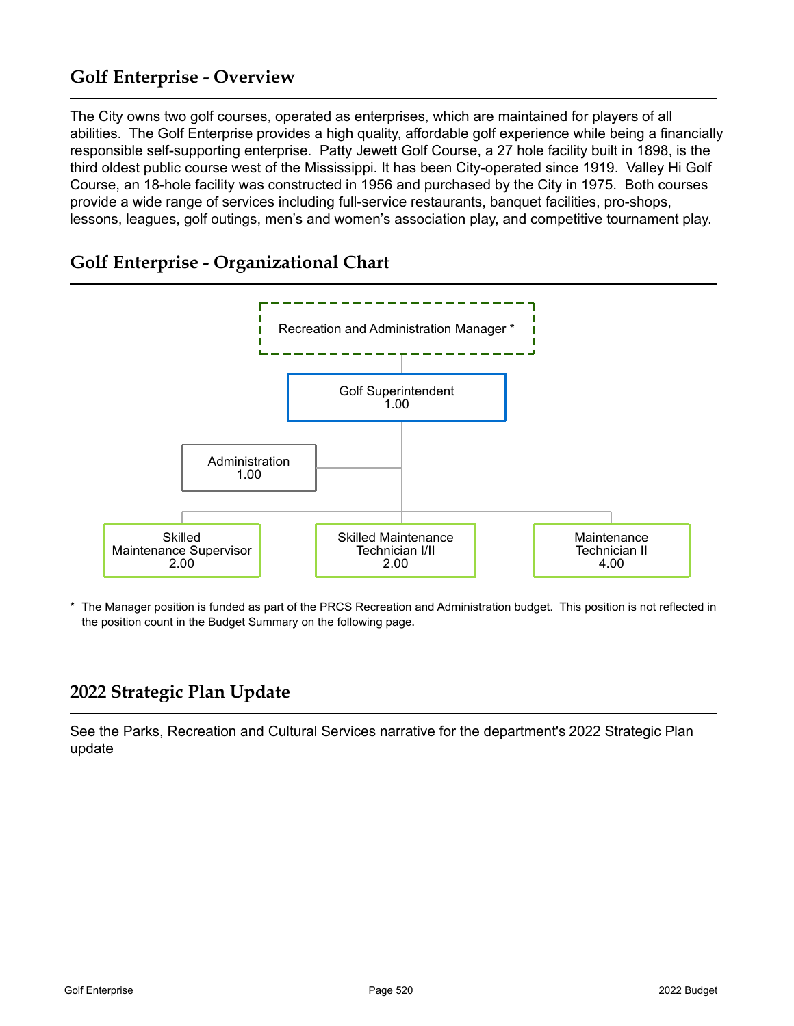## **Golf Enterprise - Overview**

The City owns two golf courses, operated as enterprises, which are maintained for players of all abilities. The Golf Enterprise provides a high quality, affordable golf experience while being a financially responsible self-supporting enterprise. Patty Jewett Golf Course, a 27 hole facility built in 1898, is the third oldest public course west of the Mississippi. It has been City-operated since 1919. Valley Hi Golf Course, an 18-hole facility was constructed in 1956 and purchased by the City in 1975. Both courses provide a wide range of services including full-service restaurants, banquet facilities, pro-shops, lessons, leagues, golf outings, men's and women's association play, and competitive tournament play.

## **Golf Enterprise - Organizational Chart**



The Manager position is funded as part of the PRCS Recreation and Administration budget. This position is not reflected in the position count in the Budget Summary on the following page.

# **2022 Strategic Plan Update**

See the Parks, Recreation and Cultural Services narrative for the department's 2022 Strategic Plan update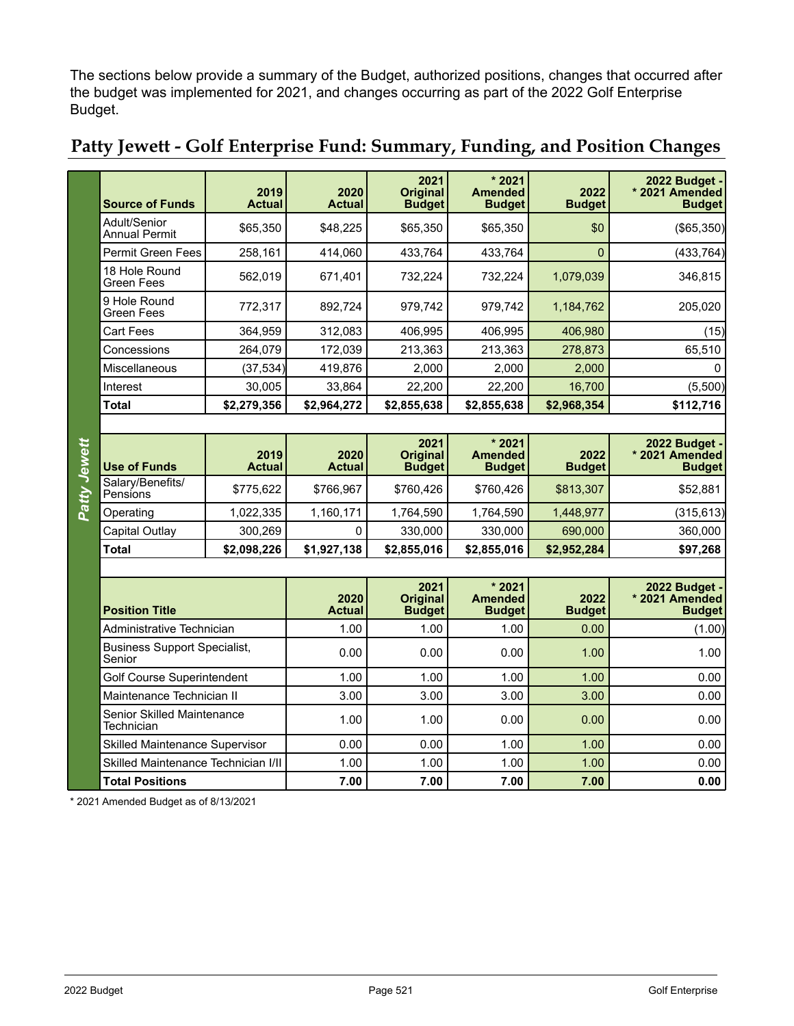The sections below provide a summary of the Budget, authorized positions, changes that occurred after the budget was implemented for 2021, and changes occurring as part of the 2022 Golf Enterprise Budget.

| <b>Source of Funds</b>               | 2019<br><b>Actual</b> | 2020<br><b>Actual</b> | 2021<br><b>Original</b><br><b>Budget</b> | $*2021$<br><b>Amended</b><br><b>Budget</b> | 2022<br><b>Budget</b> | 2022 Budget -<br>* 2021 Amended<br><b>Budget</b> |
|--------------------------------------|-----------------------|-----------------------|------------------------------------------|--------------------------------------------|-----------------------|--------------------------------------------------|
| Adult/Senior<br><b>Annual Permit</b> | \$65,350              | \$48,225              | \$65,350                                 | \$65,350                                   | \$0                   | $($ \$65,350)                                    |
| <b>Permit Green Fees</b>             | 258,161               | 414,060               | 433,764                                  | 433,764                                    | 0                     | (433,764)                                        |
| 18 Hole Round<br><b>Green Fees</b>   | 562,019               | 671.401               | 732.224                                  | 732,224                                    | 1,079,039             | 346,815                                          |
| 9 Hole Round<br><b>Green Fees</b>    | 772,317               | 892,724               | 979,742                                  | 979,742                                    | 1,184,762             | 205,020                                          |
| <b>Cart Fees</b>                     | 364,959               | 312,083               | 406,995                                  | 406,995                                    | 406,980               | (15)                                             |
| Concessions                          | 264,079               | 172,039               | 213,363                                  | 213,363                                    | 278,873               | 65,510                                           |
| Miscellaneous                        | (37,534)              | 419,876               | 2,000                                    | 2,000                                      | 2,000                 | 0                                                |
| Interest                             | 30,005                | 33,864                | 22,200                                   | 22,200                                     | 16,700                | (5,500)                                          |
| <b>Total</b>                         | \$2,279,356           | \$2,964,272           | \$2,855,638                              | \$2,855,638                                | \$2,968,354           | \$112,716                                        |

# **Patty Jewett - Golf Enterprise Fund: Summary, Funding, and Position Changes**

Patty Jewett *Patty Jewett*

| <b>Use of Funds</b>          | 2019<br><b>Actual</b> | 2020<br><b>Actual</b> | 2021<br><b>Original</b><br><b>Budget</b> | $*2021$<br>Amended<br><b>Budget</b> | 2022<br><b>Budget</b> | 2022 Budget -<br>* 2021 Amended<br><b>Budget</b> |  |  |  |
|------------------------------|-----------------------|-----------------------|------------------------------------------|-------------------------------------|-----------------------|--------------------------------------------------|--|--|--|
| Salary/Benefits/<br>Pensions | \$775,622             | \$766,967             | \$760,426                                | \$760,426                           | \$813,307             | \$52,881                                         |  |  |  |
| Operating                    | 1,022,335             | 1,160,171             | 1,764,590                                | 1,764,590                           | 1.448.977             | (315, 613)                                       |  |  |  |
| Capital Outlay               | 300.269               |                       | 330.000                                  | 330,000                             | 690,000               | 360,000                                          |  |  |  |
| <b>Total</b>                 | \$2,098,226           | \$1,927,138           | \$2,855,016                              | \$2,855,016                         | \$2,952,284           | \$97,268                                         |  |  |  |
|                              |                       |                       |                                          |                                     |                       |                                                  |  |  |  |

| <b>Position Title</b>                           | 2020<br><b>Actual</b> | 2021<br><b>Original</b><br><b>Budget</b> | $*2021$<br><b>Amended</b><br><b>Budget</b> | 2022<br><b>Budget</b> | 2022 Budget -<br>* 2021 Amended<br><b>Budget</b> |
|-------------------------------------------------|-----------------------|------------------------------------------|--------------------------------------------|-----------------------|--------------------------------------------------|
| Administrative Technician                       | 1.00                  | 1.00                                     | 1.00                                       | 0.00                  | (1.00)                                           |
| <b>Business Support Specialist,</b><br>Senior   | 0.00                  | 0.00                                     | 0.00                                       | 1.00                  | 1.00                                             |
| Golf Course Superintendent                      | 1.00                  | 1.00                                     | 1.00                                       | 1.00                  | 0.00                                             |
| Maintenance Technician II                       | 3.00                  | 3.00                                     | 3.00                                       | 3.00                  | 0.00                                             |
| <b>Senior Skilled Maintenance</b><br>Technician | 1.00                  | 1.00                                     | 0.00                                       | 0.00                  | 0.00                                             |
| <b>Skilled Maintenance Supervisor</b>           | 0.00                  | 0.00                                     | 1.00                                       | 1.00                  | 0.00                                             |
| Skilled Maintenance Technician I/II             | 1.00                  | 1.00                                     | 1.00                                       | 1.00                  | 0.00                                             |
| <b>Total Positions</b>                          | 7.00                  | 7.00                                     | 7.00                                       | 7.00                  | 0.00                                             |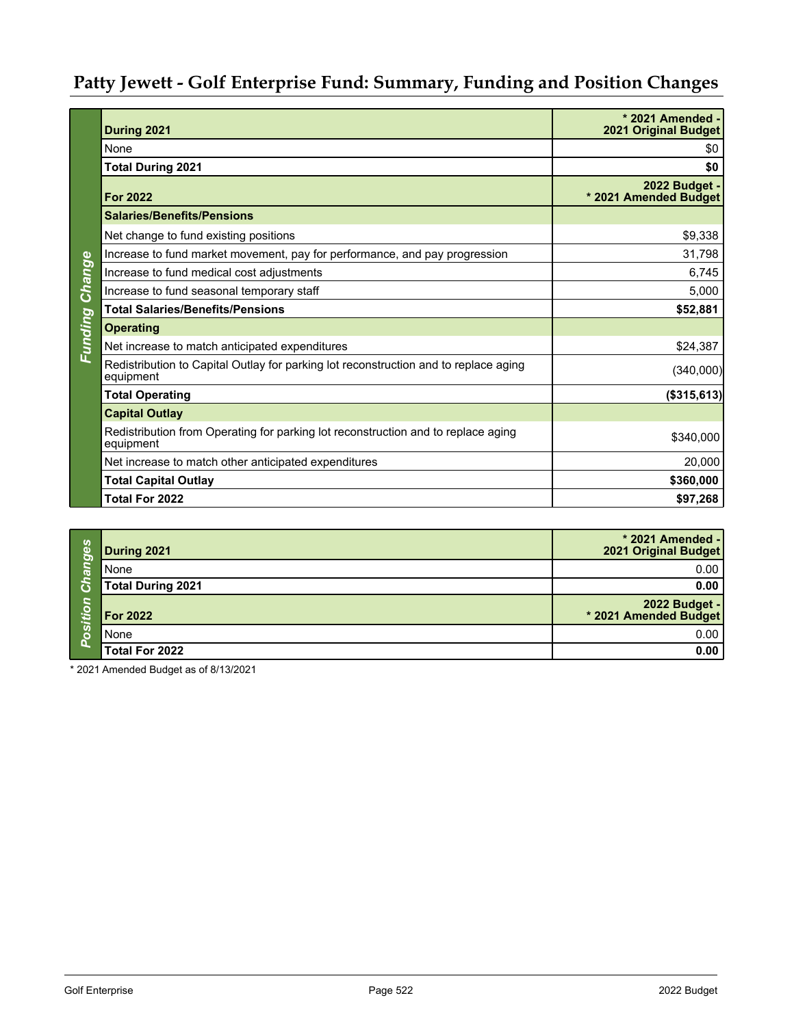# **Patty Jewett - Golf Enterprise Fund: Summary, Funding and Position Changes**

|         | During 2021                                                                                       | * 2021 Amended -<br><b>2021 Original Budget</b> |
|---------|---------------------------------------------------------------------------------------------------|-------------------------------------------------|
|         | None                                                                                              | \$0                                             |
|         | <b>Total During 2021</b>                                                                          | \$0                                             |
|         | <b>For 2022</b>                                                                                   | 2022 Budget -<br>* 2021 Amended Budget          |
|         | <b>Salaries/Benefits/Pensions</b>                                                                 |                                                 |
|         | Net change to fund existing positions                                                             | \$9,338                                         |
|         | Increase to fund market movement, pay for performance, and pay progression                        | 31,798                                          |
| Change  | Increase to fund medical cost adjustments                                                         | 6,745                                           |
|         | Increase to fund seasonal temporary staff                                                         | 5,000                                           |
|         | <b>Total Salaries/Benefits/Pensions</b>                                                           | \$52,881                                        |
|         | <b>Operating</b>                                                                                  |                                                 |
| Funding | Net increase to match anticipated expenditures                                                    | \$24,387                                        |
|         | Redistribution to Capital Outlay for parking lot reconstruction and to replace aging<br>equipment | (340,000)                                       |
|         | <b>Total Operating</b>                                                                            | (\$315,613)                                     |
|         | <b>Capital Outlay</b>                                                                             |                                                 |
|         | Redistribution from Operating for parking lot reconstruction and to replace aging<br>equipment    | \$340,000                                       |
|         | Net increase to match other anticipated expenditures                                              | 20,000                                          |
|         | <b>Total Capital Outlay</b>                                                                       | \$360,000                                       |
|         | Total For 2022                                                                                    | \$97,268                                        |

| <b>Sebu</b>               | During 2021       | * 2021 Amended -<br>2021 Original Budget |
|---------------------------|-------------------|------------------------------------------|
| $\overline{\mathfrak{A}}$ | None              | 0.00                                     |
| G                         | Total During 2021 | 0.00                                     |
| itio                      | <b>For 2022</b>   | 2022 Budget -<br>* 2021 Amended Budget   |
| ပိတ                       | <b>None</b>       | 0.00                                     |
|                           | Total For 2022    | 0.00                                     |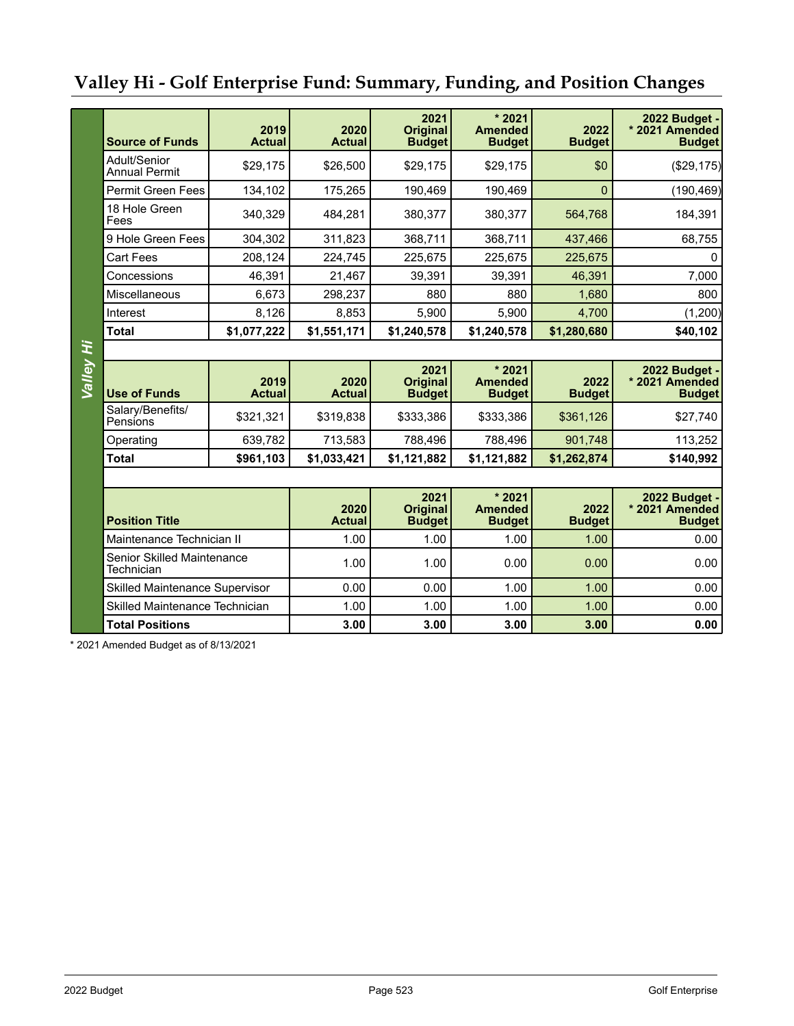# **Valley Hi - Golf Enterprise Fund: Summary, Funding, and Position Changes**

| <b>Source of Funds</b>                   | 2019<br><b>Actual</b> | 2020<br><b>Actual</b> | 2021<br><b>Original</b><br><b>Budget</b> | $*2021$<br><b>Amended</b><br><b>Budget</b> | 2022<br><b>Budget</b> | 2022 Budget -<br>* 2021 Amended<br><b>Budget</b>        |
|------------------------------------------|-----------------------|-----------------------|------------------------------------------|--------------------------------------------|-----------------------|---------------------------------------------------------|
| Adult/Senior<br><b>Annual Permit</b>     | \$29,175              | \$26,500              | \$29,175                                 | \$29,175                                   | \$0                   | (\$29,175)                                              |
| <b>Permit Green Fees</b>                 | 134,102               | 175,265               | 190,469                                  | 190,469                                    | $\mathbf{0}$          | (190, 469)                                              |
| 18 Hole Green<br>Fees                    | 340,329               | 484,281               | 380,377                                  | 380,377                                    | 564,768               | 184,391                                                 |
| 9 Hole Green Fees                        | 304,302               | 311,823               | 368,711                                  | 368,711                                    | 437,466               | 68,755                                                  |
| <b>Cart Fees</b>                         | 208,124               | 224,745               | 225,675                                  | 225,675                                    | 225,675               | 0                                                       |
| Concessions                              | 46,391                | 21,467                | 39,391                                   | 39,391                                     | 46,391                | 7,000                                                   |
| Miscellaneous                            | 6,673                 | 298,237               | 880                                      | 880                                        | 1,680                 | 800                                                     |
| Interest                                 | 8,126                 | 8,853                 | 5,900                                    | 5,900                                      | 4,700                 | (1,200)                                                 |
| <b>Total</b>                             | \$1,077,222           | \$1,551,171           | \$1,240,578                              | \$1,240,578                                | \$1,280,680           | \$40,102                                                |
|                                          |                       |                       |                                          |                                            |                       |                                                         |
| Valley Hi<br><b>Use of Funds</b>         | 2019<br><b>Actual</b> | 2020<br><b>Actual</b> | 2021<br><b>Original</b><br><b>Budget</b> | $*2021$<br><b>Amended</b><br><b>Budget</b> | 2022<br><b>Budget</b> | <b>2022 Budget -</b><br>* 2021 Amended<br><b>Budget</b> |
| Salary/Benefits/<br>Pensions             | \$321,321             | \$319,838             | \$333,386                                | \$333,386                                  | \$361,126             | \$27,740                                                |
| Operating                                | 639,782               | 713,583               | 788,496                                  | 788,496                                    | 901,748               | 113,252                                                 |
| <b>Total</b>                             | \$961,103             | \$1,033,421           | \$1,121,882                              | \$1,121,882                                | \$1,262,874           | \$140,992                                               |
|                                          |                       |                       |                                          |                                            |                       |                                                         |
| <b>Position Title</b>                    |                       |                       | 2021<br><b>Original</b><br><b>Budget</b> | $*2021$<br><b>Amended</b><br><b>Budget</b> | 2022<br><b>Budget</b> | 2022 Budget -<br>* 2021 Amended<br><b>Budget</b>        |
| Maintenance Technician II                |                       | 1.00                  | 1.00                                     | 1.00                                       | 1.00                  | 0.00                                                    |
| Senior Skilled Maintenance<br>Technician |                       | 1.00                  | 1.00                                     | 0.00                                       | 0.00                  | 0.00                                                    |
| <b>Skilled Maintenance Supervisor</b>    |                       | 0.00                  | 0.00                                     | 1.00                                       | 1.00                  | 0.00                                                    |
| Skilled Maintenance Technician           |                       | 1.00                  | 1.00                                     | 1.00                                       | 1.00                  | 0.00                                                    |
| <b>Total Positions</b>                   |                       | 3.00                  | 3.00                                     | 3.00                                       | 3.00                  | 0.00                                                    |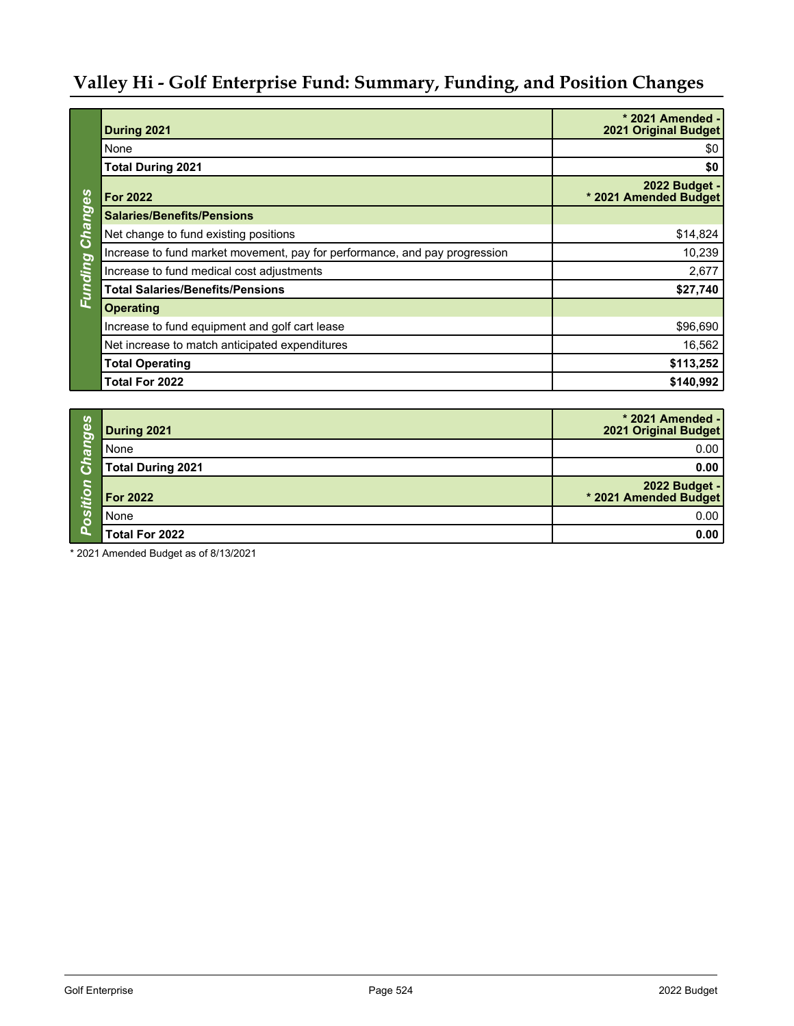# **Valley Hi - Golf Enterprise Fund: Summary, Funding, and Position Changes**

|                | During 2021                                                                | * 2021 Amended -<br>2021 Original Budget      |
|----------------|----------------------------------------------------------------------------|-----------------------------------------------|
|                | None                                                                       | \$0                                           |
|                | <b>Total During 2021</b>                                                   | \$0                                           |
|                | <b>For 2022</b>                                                            | <b>2022 Budget -</b><br>* 2021 Amended Budget |
| Changes        | <b>Salaries/Benefits/Pensions</b>                                          |                                               |
|                | Net change to fund existing positions                                      | \$14,824                                      |
|                | Increase to fund market movement, pay for performance, and pay progression | 10,239                                        |
|                | Increase to fund medical cost adjustments                                  | 2,677                                         |
| <b>Eunding</b> | <b>Total Salaries/Benefits/Pensions</b>                                    | \$27,740                                      |
|                | <b>Operating</b>                                                           |                                               |
|                | Increase to fund equipment and golf cart lease                             | \$96,690                                      |
|                | Net increase to match anticipated expenditures                             | 16,562                                        |
|                | <b>Total Operating</b>                                                     | \$113,252                                     |
|                | <b>Total For 2022</b>                                                      | \$140,992                                     |

| <b>Canges</b> | During 2021              | * 2021 Amended -<br>2021 Original Budget      |
|---------------|--------------------------|-----------------------------------------------|
|               | None                     | 0.00                                          |
| G             | <b>Total During 2021</b> | 0.00                                          |
| S             | <b>For 2022</b>          | <b>2022 Budget -</b><br>* 2021 Amended Budget |
| Positiu       | None                     | 0.00                                          |
|               | Total For 2022           | 0.00                                          |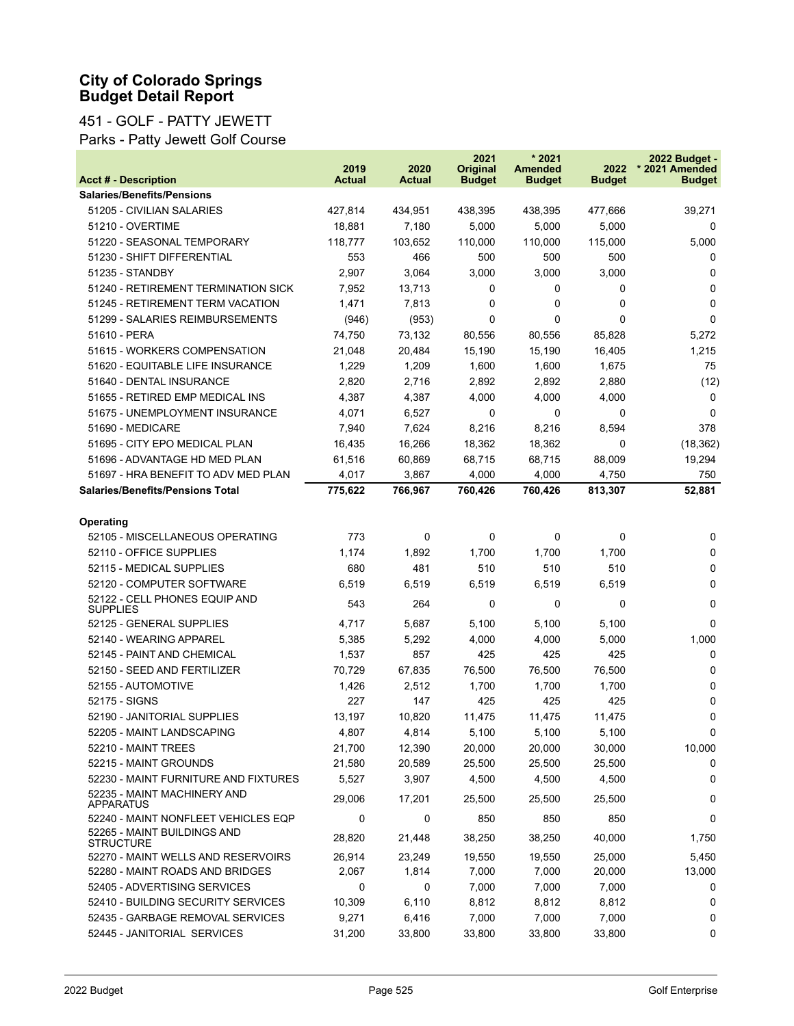#### 451 - GOLF - PATTY JEWETT

Parks - Patty Jewett Golf Course

|                                                  | 2019          | 2020    | 2021<br><b>Original</b> | * 2021<br><b>Amended</b> | 2022          | 2022 Budget -<br>* 2021 Amended |
|--------------------------------------------------|---------------|---------|-------------------------|--------------------------|---------------|---------------------------------|
| <b>Acct # - Description</b>                      | <b>Actual</b> | Actual  | <b>Budget</b>           | <b>Budget</b>            | <b>Budget</b> | <b>Budget</b>                   |
| <b>Salaries/Benefits/Pensions</b>                |               |         |                         |                          |               |                                 |
| 51205 - CIVILIAN SALARIES                        | 427,814       | 434,951 | 438,395                 | 438,395                  | 477,666       | 39,271                          |
| 51210 - OVERTIME                                 | 18,881        | 7,180   | 5,000                   | 5,000                    | 5,000         | 0                               |
| 51220 - SEASONAL TEMPORARY                       | 118,777       | 103,652 | 110,000                 | 110,000                  | 115,000       | 5,000                           |
| 51230 - SHIFT DIFFERENTIAL                       | 553           | 466     | 500                     | 500                      | 500           | 0                               |
| 51235 - STANDBY                                  | 2,907         | 3,064   | 3,000                   | 3,000                    | 3,000         | 0                               |
| 51240 - RETIREMENT TERMINATION SICK              | 7,952         | 13,713  | 0                       | 0                        | 0             | 0                               |
| 51245 - RETIREMENT TERM VACATION                 | 1,471         | 7,813   | 0                       | 0                        | 0             | $\mathbf 0$                     |
| 51299 - SALARIES REIMBURSEMENTS                  | (946)         | (953)   | 0                       | 0                        | $\Omega$      | $\Omega$                        |
| 51610 - PERA                                     | 74,750        | 73,132  | 80,556                  | 80,556                   | 85,828        | 5,272                           |
| 51615 - WORKERS COMPENSATION                     | 21,048        | 20,484  | 15,190                  | 15,190                   | 16,405        | 1,215                           |
| 51620 - EQUITABLE LIFE INSURANCE                 | 1,229         | 1,209   | 1,600                   | 1,600                    | 1,675         | 75                              |
| 51640 - DENTAL INSURANCE                         | 2,820         | 2,716   | 2,892                   | 2,892                    | 2,880         | (12)                            |
| 51655 - RETIRED EMP MEDICAL INS                  | 4,387         | 4,387   | 4,000                   | 4,000                    | 4,000         | 0                               |
| 51675 - UNEMPLOYMENT INSURANCE                   | 4,071         | 6,527   | 0                       | 0                        | 0             | 0                               |
| 51690 - MEDICARE                                 | 7,940         | 7,624   | 8,216                   | 8,216                    | 8,594         | 378                             |
| 51695 - CITY EPO MEDICAL PLAN                    | 16,435        | 16,266  | 18,362                  | 18,362                   | 0             | (18, 362)                       |
| 51696 - ADVANTAGE HD MED PLAN                    | 61,516        | 60,869  | 68,715                  | 68,715                   | 88,009        | 19,294                          |
| 51697 - HRA BENEFIT TO ADV MED PLAN              | 4,017         | 3,867   | 4,000                   | 4,000                    | 4,750         | 750                             |
| <b>Salaries/Benefits/Pensions Total</b>          | 775,622       | 766,967 | 760,426                 | 760,426                  | 813,307       | 52,881                          |
|                                                  |               |         |                         |                          |               |                                 |
| Operating                                        |               |         |                         |                          |               |                                 |
| 52105 - MISCELLANEOUS OPERATING                  | 773           | 0       | 0                       | 0                        | 0             | 0                               |
| 52110 - OFFICE SUPPLIES                          | 1,174         | 1,892   | 1,700                   | 1,700                    | 1,700         | 0                               |
| 52115 - MEDICAL SUPPLIES                         | 680           | 481     | 510                     | 510                      | 510           | 0                               |
| 52120 - COMPUTER SOFTWARE                        | 6,519         | 6,519   | 6,519                   | 6,519                    | 6,519         | 0                               |
| 52122 - CELL PHONES EQUIP AND<br><b>SUPPLIES</b> | 543           | 264     | 0                       | 0                        | 0             | 0                               |
| 52125 - GENERAL SUPPLIES                         | 4,717         | 5,687   | 5,100                   | 5,100                    | 5,100         | 0                               |
| 52140 - WEARING APPAREL                          | 5,385         | 5,292   | 4,000                   | 4,000                    | 5,000         | 1,000                           |
| 52145 - PAINT AND CHEMICAL                       | 1,537         | 857     | 425                     | 425                      | 425           | 0                               |
| 52150 - SEED AND FERTILIZER                      | 70,729        | 67,835  | 76,500                  | 76,500                   | 76,500        | 0                               |
| 52155 - AUTOMOTIVE                               | 1,426         | 2,512   | 1,700                   | 1,700                    | 1,700         | 0                               |
| 52175 - SIGNS                                    | 227           | 147     | 425                     | 425                      | 425           | 0                               |
| 52190 - JANITORIAL SUPPLIES                      | 13,197        | 10,820  | 11,475                  | 11,475                   | 11,475        | 0                               |
| 52205 - MAINT LANDSCAPING                        | 4,807         | 4,814   | 5,100                   | 5,100                    | 5,100         | $\Omega$                        |
| 52210 - MAINT TREES                              | 21,700        | 12,390  | 20,000                  | 20,000                   | 30,000        | 10,000                          |
| 52215 - MAINT GROUNDS                            | 21,580        | 20,589  | 25,500                  | 25,500                   | 25,500        | 0                               |
| 52230 - MAINT FURNITURE AND FIXTURES             | 5,527         | 3,907   | 4,500                   | 4,500                    | 4,500         | 0                               |
| 52235 - MAINT MACHINERY AND<br><b>APPARATUS</b>  | 29,006        | 17,201  | 25,500                  | 25,500                   | 25,500        | 0                               |
| 52240 - MAINT NONFLEET VEHICLES EQP              | 0             | 0       | 850                     | 850                      | 850           | 0                               |
| 52265 - MAINT BUILDINGS AND<br><b>STRUCTURE</b>  | 28,820        | 21,448  | 38,250                  | 38,250                   | 40,000        | 1,750                           |
| 52270 - MAINT WELLS AND RESERVOIRS               | 26,914        | 23,249  | 19,550                  | 19,550                   | 25,000        | 5,450                           |
| 52280 - MAINT ROADS AND BRIDGES                  | 2,067         | 1,814   | 7,000                   | 7,000                    | 20,000        | 13,000                          |
| 52405 - ADVERTISING SERVICES                     | 0             | 0       | 7,000                   | 7,000                    | 7,000         | 0                               |
| 52410 - BUILDING SECURITY SERVICES               | 10,309        | 6,110   | 8,812                   | 8,812                    | 8,812         | 0                               |
| 52435 - GARBAGE REMOVAL SERVICES                 | 9,271         | 6,416   | 7,000                   | 7,000                    | 7,000         | 0                               |
| 52445 - JANITORIAL SERVICES                      | 31,200        | 33,800  | 33,800                  | 33,800                   | 33,800        | 0                               |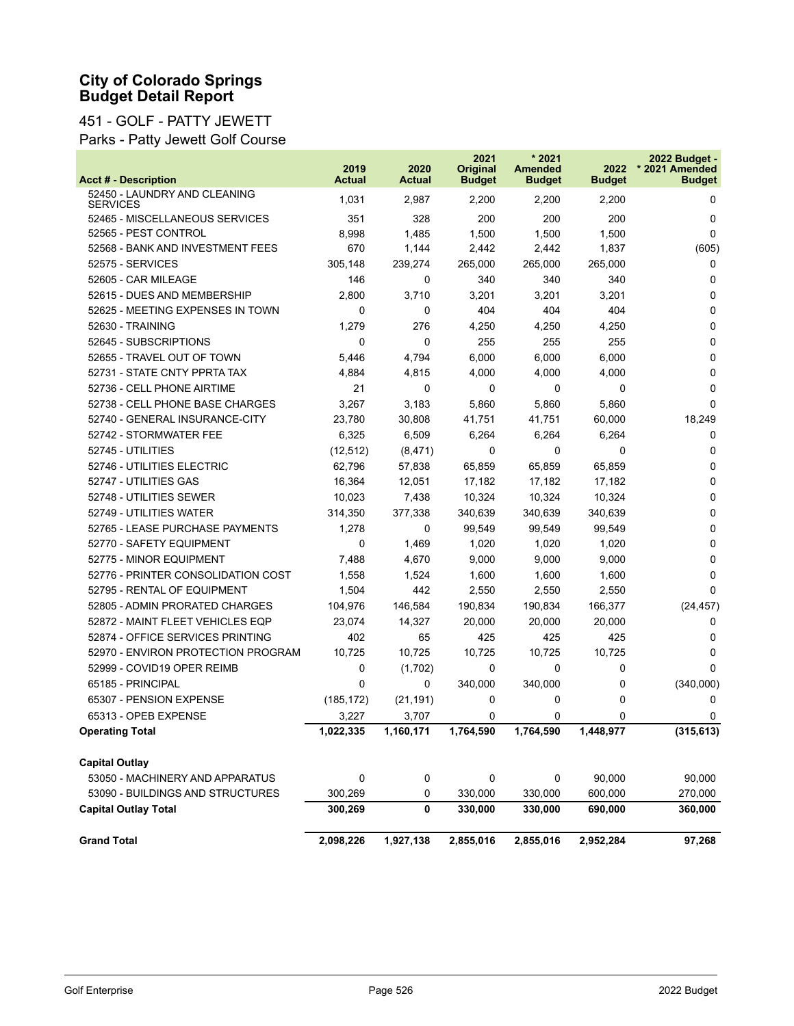#### 451 - GOLF - PATTY JEWETT

Parks - Patty Jewett Golf Course

| <b>Acct # - Description</b>                     | 2019<br><b>Actual</b> | 2020<br><b>Actual</b> | 2021<br><b>Original</b><br><b>Budget</b> | $*2021$<br><b>Amended</b><br><b>Budget</b> | 2022<br><b>Budget</b> | 2022 Budget -<br>* 2021 Amended<br><b>Budget</b> |
|-------------------------------------------------|-----------------------|-----------------------|------------------------------------------|--------------------------------------------|-----------------------|--------------------------------------------------|
| 52450 - LAUNDRY AND CLEANING<br><b>SERVICES</b> | 1,031                 | 2,987                 | 2,200                                    | 2,200                                      | 2,200                 | 0                                                |
| 52465 - MISCELLANEOUS SERVICES                  | 351                   | 328                   | 200                                      | 200                                        | 200                   | 0                                                |
| 52565 - PEST CONTROL                            | 8,998                 | 1,485                 | 1,500                                    | 1,500                                      | 1,500                 | $\Omega$                                         |
| 52568 - BANK AND INVESTMENT FEES                | 670                   | 1,144                 | 2,442                                    | 2,442                                      | 1,837                 | (605)                                            |
| 52575 - SERVICES                                | 305,148               | 239,274               | 265,000                                  | 265,000                                    | 265,000               | 0                                                |
| 52605 - CAR MILEAGE                             | 146                   | 0                     | 340                                      | 340                                        | 340                   | 0                                                |
| 52615 - DUES AND MEMBERSHIP                     | 2,800                 | 3,710                 | 3,201                                    | 3,201                                      | 3,201                 | 0                                                |
| 52625 - MEETING EXPENSES IN TOWN                | 0                     | 0                     | 404                                      | 404                                        | 404                   | 0                                                |
| 52630 - TRAINING                                | 1,279                 | 276                   | 4,250                                    | 4,250                                      | 4,250                 | 0                                                |
| 52645 - SUBSCRIPTIONS                           | 0                     | 0                     | 255                                      | 255                                        | 255                   | 0                                                |
| 52655 - TRAVEL OUT OF TOWN                      | 5,446                 | 4,794                 | 6,000                                    | 6,000                                      | 6,000                 | 0                                                |
| 52731 - STATE CNTY PPRTA TAX                    | 4,884                 | 4,815                 | 4,000                                    | 4,000                                      | 4,000                 | 0                                                |
| 52736 - CELL PHONE AIRTIME                      | 21                    | 0                     | 0                                        | 0                                          | 0                     | 0                                                |
| 52738 - CELL PHONE BASE CHARGES                 | 3,267                 | 3,183                 | 5,860                                    | 5,860                                      | 5,860                 | $\Omega$                                         |
| 52740 - GENERAL INSURANCE-CITY                  | 23,780                | 30,808                | 41,751                                   | 41,751                                     | 60,000                | 18,249                                           |
| 52742 - STORMWATER FEE                          | 6,325                 | 6,509                 | 6,264                                    | 6,264                                      | 6,264                 | 0                                                |
| 52745 - UTILITIES                               | (12, 512)             | (8, 471)              | 0                                        | 0                                          | 0                     | 0                                                |
| 52746 - UTILITIES ELECTRIC                      | 62,796                | 57,838                | 65,859                                   | 65,859                                     | 65,859                | 0                                                |
| 52747 - UTILITIES GAS                           | 16,364                | 12,051                | 17,182                                   | 17,182                                     | 17,182                | 0                                                |
| 52748 - UTILITIES SEWER                         | 10,023                | 7,438                 | 10,324                                   | 10,324                                     | 10,324                | 0                                                |
| 52749 - UTILITIES WATER                         | 314,350               | 377,338               | 340,639                                  | 340,639                                    | 340,639               | 0                                                |
| 52765 - LEASE PURCHASE PAYMENTS                 | 1,278                 | 0                     | 99,549                                   | 99,549                                     | 99,549                | 0                                                |
| 52770 - SAFETY EQUIPMENT                        | 0                     | 1,469                 | 1,020                                    | 1,020                                      | 1,020                 | 0                                                |
| 52775 - MINOR EQUIPMENT                         | 7,488                 | 4,670                 | 9,000                                    | 9,000                                      | 9,000                 | 0                                                |
| 52776 - PRINTER CONSOLIDATION COST              | 1,558                 | 1,524                 | 1,600                                    | 1,600                                      | 1,600                 | 0                                                |
| 52795 - RENTAL OF EQUIPMENT                     | 1,504                 | 442                   | 2,550                                    | 2,550                                      | 2,550                 | $\Omega$                                         |
| 52805 - ADMIN PRORATED CHARGES                  | 104,976               | 146,584               | 190,834                                  | 190,834                                    | 166,377               | (24, 457)                                        |
| 52872 - MAINT FLEET VEHICLES EQP                | 23,074                | 14,327                | 20,000                                   | 20,000                                     | 20,000                | 0                                                |
| 52874 - OFFICE SERVICES PRINTING                | 402                   | 65                    | 425                                      | 425                                        | 425                   | 0                                                |
| 52970 - ENVIRON PROTECTION PROGRAM              | 10,725                | 10,725                | 10,725                                   | 10,725                                     | 10,725                | 0                                                |
| 52999 - COVID19 OPER REIMB                      | 0                     | (1,702)               | 0                                        | 0                                          | 0                     | $\Omega$                                         |
| 65185 - PRINCIPAL                               | 0                     | 0                     | 340,000                                  | 340,000                                    | 0                     | (340,000)                                        |
| 65307 - PENSION EXPENSE                         | (185, 172)            | (21, 191)             | 0                                        | 0                                          | 0                     | 0                                                |
| 65313 - OPEB EXPENSE                            | 3,227                 | 3,707                 | 0                                        | 0                                          | 0                     | 0                                                |
| <b>Operating Total</b>                          | 1,022,335             | 1,160,171             | 1,764,590                                | 1,764,590                                  | 1,448,977             | (315, 613)                                       |
| <b>Capital Outlay</b>                           |                       |                       |                                          |                                            |                       |                                                  |
| 53050 - MACHINERY AND APPARATUS                 | 0                     | 0                     | 0                                        | 0                                          | 90,000                | 90,000                                           |
| 53090 - BUILDINGS AND STRUCTURES                | 300,269               | 0                     | 330,000                                  | 330,000                                    | 600,000               | 270,000                                          |
| <b>Capital Outlay Total</b>                     | 300,269               | 0                     | 330,000                                  | 330,000                                    | 690,000               | 360,000                                          |
| <b>Grand Total</b>                              | 2,098,226             | 1,927,138             | 2,855,016                                | 2,855,016                                  | 2,952,284             | 97,268                                           |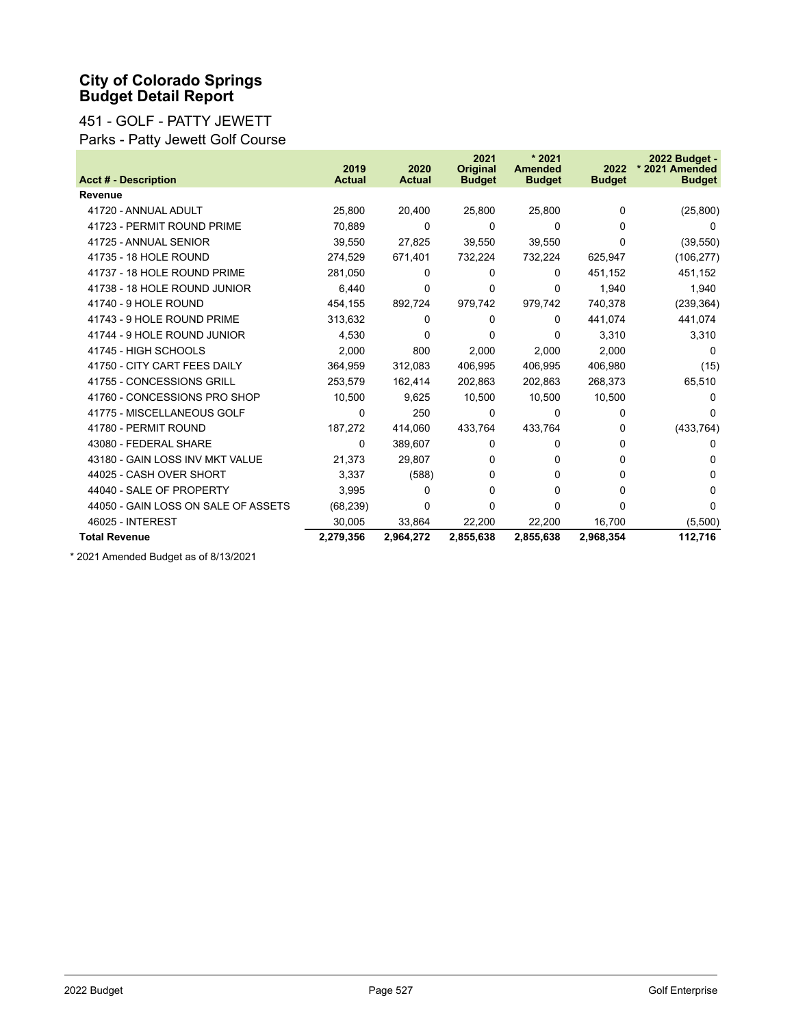#### 451 - GOLF - PATTY JEWETT Parks - Patty Jewett Golf Course

|                                     | 2019          | 2020          | 2021<br><b>Original</b> | $*2021$<br><b>Amended</b> | 2022          | 2022 Budget -<br>* 2021 Amended |
|-------------------------------------|---------------|---------------|-------------------------|---------------------------|---------------|---------------------------------|
| <b>Acct # - Description</b>         | <b>Actual</b> | <b>Actual</b> | <b>Budget</b>           | <b>Budget</b>             | <b>Budget</b> | <b>Budget</b>                   |
| Revenue                             |               |               |                         |                           |               |                                 |
| 41720 - ANNUAL ADULT                | 25,800        | 20,400        | 25,800                  | 25,800                    | 0             | (25, 800)                       |
| 41723 - PERMIT ROUND PRIME          | 70,889        | 0             | 0                       | $\Omega$                  | $\Omega$      | $\Omega$                        |
| 41725 - ANNUAL SENIOR               | 39,550        | 27.825        | 39.550                  | 39.550                    | $\Omega$      | (39, 550)                       |
| 41735 - 18 HOLE ROUND               | 274,529       | 671,401       | 732,224                 | 732,224                   | 625,947       | (106, 277)                      |
| 41737 - 18 HOLE ROUND PRIME         | 281,050       | $\Omega$      | 0                       | 0                         | 451,152       | 451,152                         |
| 41738 - 18 HOLE ROUND JUNIOR        | 6,440         | 0             | 0                       | 0                         | 1,940         | 1,940                           |
| 41740 - 9 HOLE ROUND                | 454,155       | 892.724       | 979,742                 | 979,742                   | 740,378       | (239, 364)                      |
| 41743 - 9 HOLE ROUND PRIME          | 313,632       | 0             | 0                       | 0                         | 441,074       | 441,074                         |
| 41744 - 9 HOLE ROUND JUNIOR         | 4,530         | 0             | 0                       | 0                         | 3,310         | 3,310                           |
| 41745 - HIGH SCHOOLS                | 2,000         | 800           | 2,000                   | 2,000                     | 2,000         | $\mathbf{0}$                    |
| 41750 - CITY CART FEES DAILY        | 364,959       | 312.083       | 406,995                 | 406,995                   | 406,980       | (15)                            |
| 41755 - CONCESSIONS GRILL           | 253,579       | 162,414       | 202,863                 | 202,863                   | 268,373       | 65,510                          |
| 41760 - CONCESSIONS PRO SHOP        | 10,500        | 9,625         | 10,500                  | 10,500                    | 10,500        | $\mathbf{0}$                    |
| 41775 - MISCELLANEOUS GOLF          | 0             | 250           | 0                       | 0                         | 0             | 0                               |
| 41780 - PERMIT ROUND                | 187,272       | 414,060       | 433,764                 | 433,764                   | 0             | (433, 764)                      |
| 43080 - FEDERAL SHARE               | $\Omega$      | 389,607       | 0                       | 0                         | 0             | 0                               |
| 43180 - GAIN LOSS INV MKT VALUE     | 21,373        | 29,807        | 0                       | 0                         | 0             | 0                               |
| 44025 - CASH OVER SHORT             | 3,337         | (588)         | 0                       | 0                         | $\Omega$      | $\Omega$                        |
| 44040 - SALE OF PROPERTY            | 3,995         | 0             | 0                       | 0                         | $\Omega$      | $\Omega$                        |
| 44050 - GAIN LOSS ON SALE OF ASSETS | (68, 239)     | 0             | 0                       | 0                         | $\Omega$      | $\Omega$                        |
| 46025 - INTEREST                    | 30,005        | 33,864        | 22,200                  | 22,200                    | 16,700        | (5,500)                         |
| <b>Total Revenue</b>                | 2,279,356     | 2,964,272     | 2,855,638               | 2,855,638                 | 2,968,354     | 112,716                         |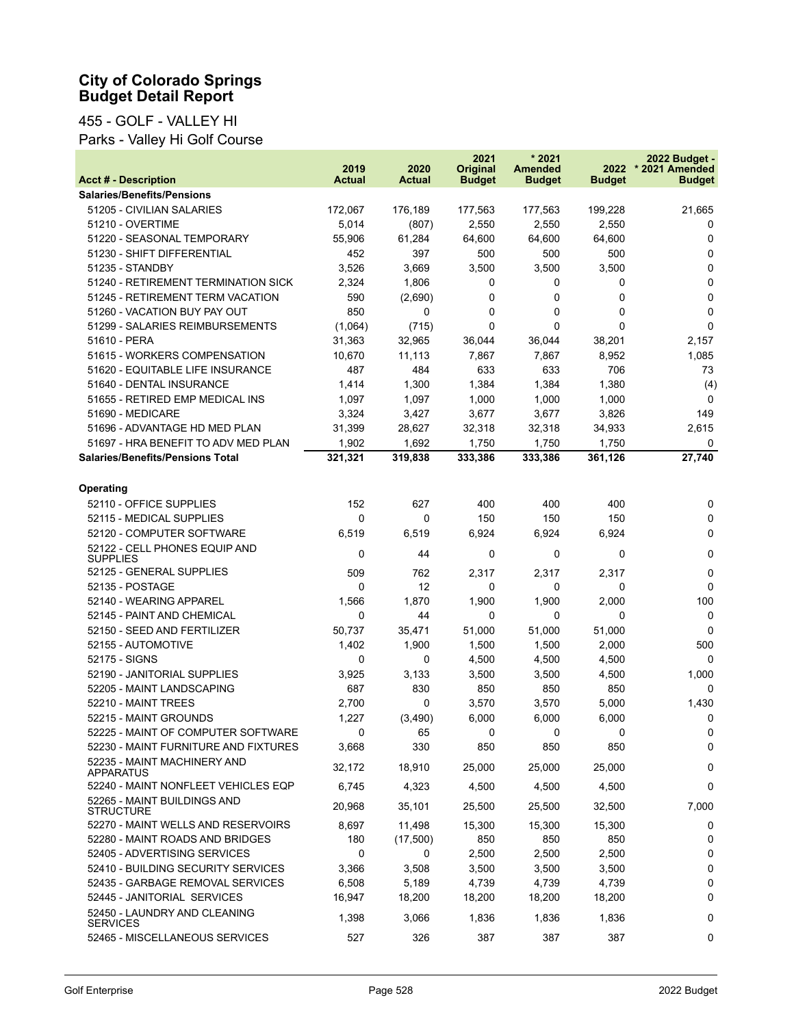## 455 - GOLF - VALLEY HI

Parks - Valley Hi Golf Course

|                                                  | 2019    | 2020          | 2021<br><b>Original</b> | $*2021$<br><b>Amended</b> | 2022          | 2022 Budget -<br>* 2021 Amended |
|--------------------------------------------------|---------|---------------|-------------------------|---------------------------|---------------|---------------------------------|
| <b>Acct # - Description</b>                      | Actual  | <b>Actual</b> | <b>Budget</b>           | <b>Budget</b>             | <b>Budget</b> | <b>Budget</b>                   |
| <b>Salaries/Benefits/Pensions</b>                |         |               |                         |                           |               |                                 |
| 51205 - CIVILIAN SALARIES                        | 172,067 | 176,189       | 177,563                 | 177,563                   | 199,228       | 21,665                          |
| 51210 - OVERTIME                                 | 5,014   | (807)         | 2,550                   | 2,550                     | 2,550         | 0                               |
| 51220 - SEASONAL TEMPORARY                       | 55,906  | 61,284        | 64,600                  | 64,600                    | 64,600        | 0                               |
| 51230 - SHIFT DIFFERENTIAL                       | 452     | 397           | 500                     | 500                       | 500           | 0                               |
| 51235 - STANDBY                                  | 3,526   | 3,669         | 3,500                   | 3,500                     | 3,500         | $\mathbf 0$                     |
| 51240 - RETIREMENT TERMINATION SICK              | 2,324   | 1,806         | 0                       | 0                         | 0             | 0                               |
| 51245 - RETIREMENT TERM VACATION                 | 590     | (2,690)       | 0                       | 0                         | 0             | $\mathbf 0$                     |
| 51260 - VACATION BUY PAY OUT                     | 850     | 0             | 0                       | 0                         | 0             | $\mathbf 0$                     |
| 51299 - SALARIES REIMBURSEMENTS                  | (1,064) | (715)         | 0                       | 0                         | 0             | $\mathbf 0$                     |
| 51610 - PERA                                     | 31,363  | 32,965        | 36,044                  | 36,044                    | 38,201        | 2,157                           |
| 51615 - WORKERS COMPENSATION                     | 10,670  | 11,113        | 7,867                   | 7,867                     | 8,952         | 1,085                           |
| 51620 - EQUITABLE LIFE INSURANCE                 | 487     | 484           | 633                     | 633                       | 706           | 73                              |
| 51640 - DENTAL INSURANCE                         | 1,414   | 1,300         | 1,384                   | 1,384                     | 1,380         | (4)                             |
| 51655 - RETIRED EMP MEDICAL INS                  | 1,097   | 1,097         | 1,000                   | 1,000                     | 1,000         | 0                               |
| 51690 - MEDICARE                                 | 3,324   | 3,427         | 3,677                   | 3,677                     | 3,826         | 149                             |
| 51696 - ADVANTAGE HD MED PLAN                    | 31,399  | 28,627        | 32,318                  | 32,318                    | 34,933        | 2,615                           |
| 51697 - HRA BENEFIT TO ADV MED PLAN              | 1,902   | 1,692         | 1,750                   | 1,750                     | 1,750         | 0                               |
| <b>Salaries/Benefits/Pensions Total</b>          | 321,321 | 319,838       | 333,386                 | 333,386                   | 361,126       | 27,740                          |
|                                                  |         |               |                         |                           |               |                                 |
| Operating                                        |         |               |                         |                           |               |                                 |
| 52110 - OFFICE SUPPLIES                          | 152     | 627           | 400                     | 400                       | 400           | 0                               |
| 52115 - MEDICAL SUPPLIES                         | 0       | 0             | 150                     | 150                       | 150           | 0                               |
| 52120 - COMPUTER SOFTWARE                        | 6,519   | 6,519         | 6,924                   | 6,924                     | 6,924         | 0                               |
| 52122 - CELL PHONES EQUIP AND<br><b>SUPPLIES</b> | 0       | 44            | 0                       | 0                         | 0             | $\mathbf 0$                     |
| 52125 - GENERAL SUPPLIES                         | 509     | 762           | 2,317                   | 2,317                     | 2,317         | 0                               |
| 52135 - POSTAGE                                  | 0       | 12            | 0                       | 0                         | 0             | 0                               |
| 52140 - WEARING APPAREL                          | 1,566   | 1,870         | 1,900                   | 1,900                     | 2,000         | 100                             |
| 52145 - PAINT AND CHEMICAL                       | 0       | 44            | 0                       | 0                         | 0             | 0                               |
| 52150 - SEED AND FERTILIZER                      | 50,737  | 35,471        | 51,000                  | 51,000                    | 51,000        | $\Omega$                        |
| 52155 - AUTOMOTIVE                               | 1,402   | 1,900         | 1,500                   | 1,500                     | 2,000         | 500                             |
| 52175 - SIGNS                                    | 0       | 0             | 4,500                   | 4,500                     | 4,500         | $\Omega$                        |
| 52190 - JANITORIAL SUPPLIES                      | 3,925   | 3,133         | 3,500                   | 3,500                     | 4,500         | 1,000                           |
| 52205 - MAINT LANDSCAPING                        | 687     | 830           | 850                     | 850                       | 850           | 0                               |
| 52210 - MAINT TREES                              | 2,700   | 0             | 3,570                   | 3,570                     | 5,000         | 1,430                           |
| 52215 - MAINT GROUNDS                            | 1,227   | (3,490)       | 6,000                   | 6,000                     | 6,000         | 0                               |
| 52225 - MAINT OF COMPUTER SOFTWARE               | 0       | 65            | 0                       | 0                         | 0             | 0                               |
| 52230 - MAINT FURNITURE AND FIXTURES             | 3,668   | 330           | 850                     | 850                       | 850           | 0                               |
| 52235 - MAINT MACHINERY AND<br><b>APPARATUS</b>  | 32,172  | 18,910        | 25,000                  | 25,000                    | 25,000        | 0                               |
| 52240 - MAINT NONFLEET VEHICLES EQP              | 6,745   | 4,323         | 4,500                   | 4,500                     | 4,500         | 0                               |
| 52265 - MAINT BUILDINGS AND<br><b>STRUCTURE</b>  | 20,968  | 35,101        | 25,500                  | 25,500                    | 32,500        | 7,000                           |
| 52270 - MAINT WELLS AND RESERVOIRS               | 8,697   | 11,498        | 15,300                  | 15,300                    | 15,300        | 0                               |
| 52280 - MAINT ROADS AND BRIDGES                  | 180     | (17,500)      | 850                     | 850                       | 850           | 0                               |
| 52405 - ADVERTISING SERVICES                     | 0       | 0             | 2,500                   | 2,500                     | 2,500         | 0                               |
| 52410 - BUILDING SECURITY SERVICES               | 3,366   | 3,508         | 3,500                   | 3,500                     | 3,500         | 0                               |
| 52435 - GARBAGE REMOVAL SERVICES                 | 6,508   | 5,189         | 4,739                   | 4,739                     | 4,739         | 0                               |
| 52445 - JANITORIAL SERVICES                      | 16,947  | 18,200        | 18,200                  | 18,200                    | 18,200        | 0                               |
| 52450 - LAUNDRY AND CLEANING<br><b>SERVICES</b>  | 1,398   | 3,066         | 1,836                   | 1,836                     | 1,836         | 0                               |
| 52465 - MISCELLANEOUS SERVICES                   | 527     | 326           | 387                     | 387                       | 387           | 0                               |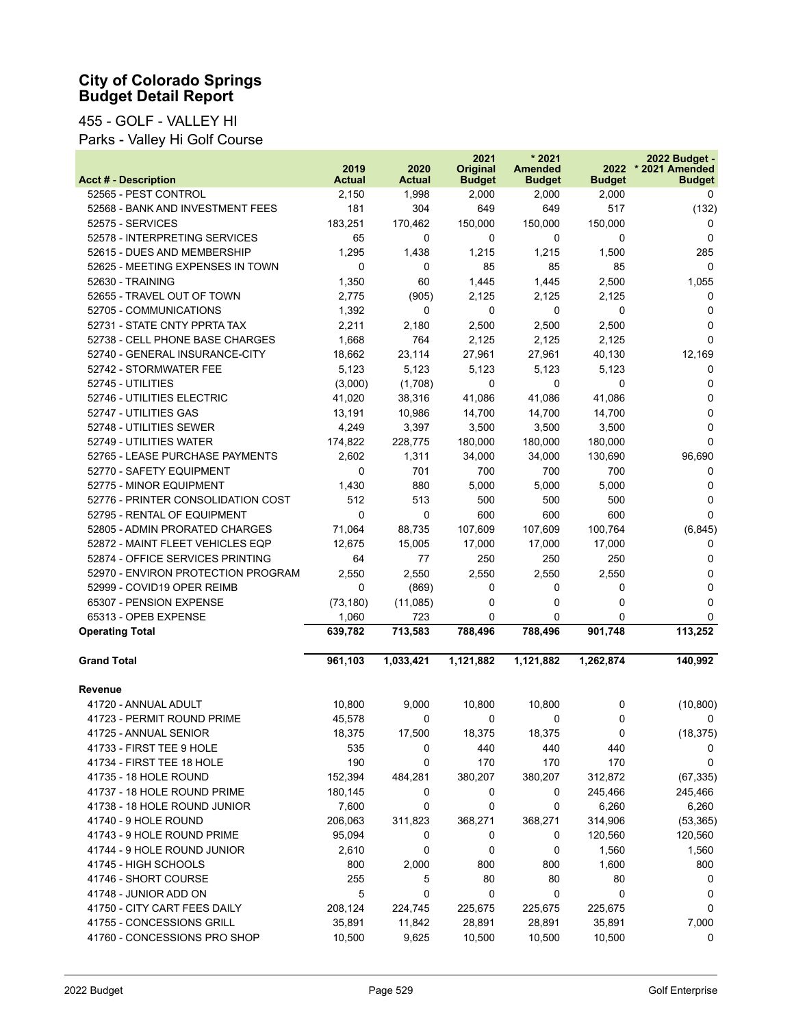## 455 - GOLF - VALLEY HI

Parks - Valley Hi Golf Course

| <b>Acct # - Description</b>        | 2019<br><b>Actual</b> | 2020<br><b>Actual</b> | 2021<br><b>Original</b><br><b>Budget</b> | $*2021$<br><b>Amended</b><br><b>Budget</b> | 2022<br><b>Budget</b> | 2022 Budget -<br>* 2021 Amended<br><b>Budget</b> |
|------------------------------------|-----------------------|-----------------------|------------------------------------------|--------------------------------------------|-----------------------|--------------------------------------------------|
| 52565 - PEST CONTROL               | 2,150                 | 1,998                 | 2,000                                    | 2,000                                      | 2,000                 | 0                                                |
| 52568 - BANK AND INVESTMENT FEES   | 181                   | 304                   | 649                                      | 649                                        | 517                   | (132)                                            |
| 52575 - SERVICES                   | 183,251               | 170,462               | 150,000                                  | 150,000                                    | 150,000               | 0                                                |
| 52578 - INTERPRETING SERVICES      | 65                    | 0                     | 0                                        | 0                                          | 0                     | 0                                                |
| 52615 - DUES AND MEMBERSHIP        | 1,295                 | 1,438                 | 1,215                                    | 1,215                                      | 1,500                 | 285                                              |
| 52625 - MEETING EXPENSES IN TOWN   | 0                     | 0                     | 85                                       | 85                                         | 85                    | 0                                                |
| 52630 - TRAINING                   | 1,350                 | 60                    | 1,445                                    | 1,445                                      | 2,500                 | 1,055                                            |
| 52655 - TRAVEL OUT OF TOWN         | 2,775                 | (905)                 | 2,125                                    | 2,125                                      | 2,125                 | 0                                                |
| 52705 - COMMUNICATIONS             | 1,392                 | 0                     | 0                                        | 0                                          | 0                     | 0                                                |
| 52731 - STATE CNTY PPRTA TAX       | 2,211                 | 2,180                 | 2,500                                    | 2,500                                      | 2,500                 | 0                                                |
| 52738 - CELL PHONE BASE CHARGES    | 1,668                 | 764                   | 2,125                                    | 2,125                                      | 2,125                 | $\mathbf{0}$                                     |
| 52740 - GENERAL INSURANCE-CITY     | 18,662                | 23,114                | 27,961                                   | 27,961                                     | 40,130                | 12,169                                           |
| 52742 - STORMWATER FEE             | 5,123                 | 5,123                 | 5,123                                    | 5,123                                      | 5,123                 | 0                                                |
| 52745 - UTILITIES                  | (3,000)               | (1,708)               | 0                                        | 0                                          | 0                     | 0                                                |
| 52746 - UTILITIES ELECTRIC         | 41,020                | 38,316                | 41,086                                   | 41,086                                     | 41,086                | $\Omega$                                         |
| 52747 - UTILITIES GAS              | 13,191                | 10,986                | 14,700                                   | 14,700                                     | 14,700                | 0                                                |
| 52748 - UTILITIES SEWER            | 4,249                 | 3,397                 | 3,500                                    | 3,500                                      | 3,500                 | 0                                                |
| 52749 - UTILITIES WATER            | 174,822               | 228,775               | 180,000                                  | 180,000                                    | 180,000               | $\mathbf 0$                                      |
| 52765 - LEASE PURCHASE PAYMENTS    | 2,602                 | 1,311                 | 34,000                                   | 34,000                                     | 130,690               | 96,690                                           |
| 52770 - SAFETY EQUIPMENT           | 0                     | 701                   | 700                                      | 700                                        | 700                   | 0                                                |
| 52775 - MINOR EQUIPMENT            | 1,430                 | 880                   | 5,000                                    | 5,000                                      | 5,000                 | 0                                                |
| 52776 - PRINTER CONSOLIDATION COST | 512                   | 513                   | 500                                      | 500                                        | 500                   | 0                                                |
| 52795 - RENTAL OF EQUIPMENT        | 0                     | 0                     | 600                                      | 600                                        | 600                   | $\Omega$                                         |
| 52805 - ADMIN PRORATED CHARGES     | 71,064                | 88,735                | 107,609                                  | 107,609                                    | 100,764               | (6, 845)                                         |
| 52872 - MAINT FLEET VEHICLES EQP   | 12,675                | 15,005                | 17,000                                   | 17,000                                     | 17,000                | 0                                                |
| 52874 - OFFICE SERVICES PRINTING   | 64                    | 77                    | 250                                      | 250                                        | 250                   | 0                                                |
| 52970 - ENVIRON PROTECTION PROGRAM | 2,550                 | 2,550                 | 2,550                                    | 2,550                                      | 2,550                 | 0                                                |
| 52999 - COVID19 OPER REIMB         | 0                     | (869)                 | 0                                        | 0                                          | 0                     | 0                                                |
| 65307 - PENSION EXPENSE            | (73, 180)             | (11,085)              | 0                                        | 0                                          | 0                     | 0                                                |
| 65313 - OPEB EXPENSE               | 1,060                 | 723                   | 0                                        | 0                                          | 0                     | 0                                                |
| <b>Operating Total</b>             | 639,782               | 713,583               | 788,496                                  | 788,496                                    | 901,748               | 113,252                                          |
| <b>Grand Total</b>                 | 961,103               | 1,033,421             | 1,121,882                                | 1,121,882                                  | 1,262,874             | 140,992                                          |
| <b>Revenue</b>                     |                       |                       |                                          |                                            |                       |                                                  |
| 41720 - ANNUAL ADULT               | 10,800                | 9,000                 | 10,800                                   | 10,800                                     | 0                     | (10, 800)                                        |
| 41723 - PERMIT ROUND PRIME         | 45,578                | 0                     | 0                                        | 0                                          | 0                     | 0                                                |
| 41725 - ANNUAL SENIOR              | 18,375                | 17,500                | 18,375                                   | 18,375                                     | 0                     | (18, 375)                                        |
| 41733 - FIRST TEE 9 HOLE           | 535                   | 0                     | 440                                      | 440                                        | 440                   | 0                                                |
| 41734 - FIRST TEE 18 HOLE          | 190                   | 0                     | 170                                      | 170                                        | 170                   | 0                                                |
| 41735 - 18 HOLE ROUND              | 152,394               | 484,281               | 380,207                                  | 380,207                                    | 312,872               | (67, 335)                                        |
| 41737 - 18 HOLE ROUND PRIME        | 180,145               | 0                     | 0                                        | 0                                          | 245,466               | 245,466                                          |
| 41738 - 18 HOLE ROUND JUNIOR       | 7,600                 | 0                     | 0                                        | 0                                          | 6,260                 | 6,260                                            |
| 41740 - 9 HOLE ROUND               | 206,063               | 311,823               | 368,271                                  | 368,271                                    | 314,906               | (53, 365)                                        |
| 41743 - 9 HOLE ROUND PRIME         | 95,094                | 0                     | 0                                        | 0                                          | 120,560               | 120,560                                          |
| 41744 - 9 HOLE ROUND JUNIOR        | 2,610                 | 0                     | 0                                        | 0                                          | 1,560                 | 1,560                                            |
| 41745 - HIGH SCHOOLS               | 800                   | 2,000                 | 800                                      | 800                                        | 1,600                 | 800                                              |
| 41746 - SHORT COURSE               | 255                   | 5                     | 80                                       | 80                                         | 80                    | 0                                                |
| 41748 - JUNIOR ADD ON              | 5                     | 0                     | 0                                        | 0                                          | 0                     | 0                                                |
| 41750 - CITY CART FEES DAILY       | 208,124               | 224,745               | 225,675                                  | 225,675                                    | 225,675               | 0                                                |
| 41755 - CONCESSIONS GRILL          | 35,891                | 11,842                | 28,891                                   | 28,891                                     | 35,891                | 7,000                                            |
| 41760 - CONCESSIONS PRO SHOP       | 10,500                | 9,625                 | 10,500                                   | 10,500                                     | 10,500                | 0                                                |